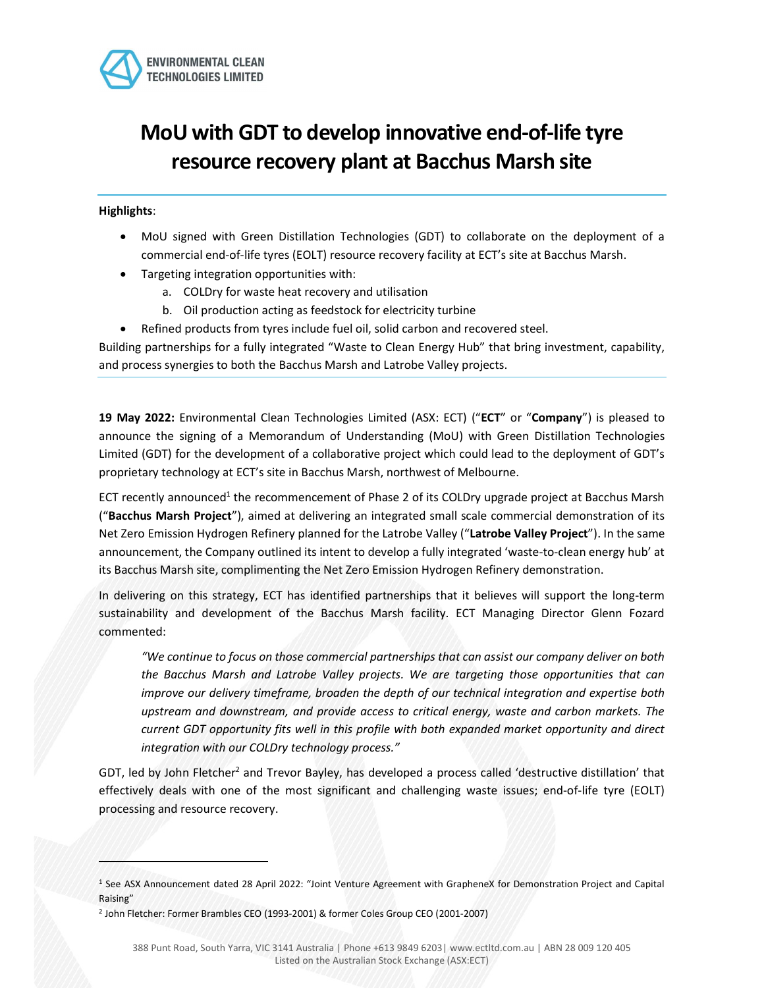

# MoU with GDT to develop innovative end-of-life tyre resource recovery plant at Bacchus Marsh site

Highlights:

- MoU signed with Green Distillation Technologies (GDT) to collaborate on the deployment of a commercial end-of-life tyres (EOLT) resource recovery facility at ECT's site at Bacchus Marsh.
- Targeting integration opportunities with:
	- a. COLDry for waste heat recovery and utilisation
	- b. Oil production acting as feedstock for electricity turbine
	- Refined products from tyres include fuel oil, solid carbon and recovered steel.

Building partnerships for a fully integrated "Waste to Clean Energy Hub" that bring investment, capability, and process synergies to both the Bacchus Marsh and Latrobe Valley projects.

19 May 2022: Environmental Clean Technologies Limited (ASX: ECT) ("ECT" or "Company") is pleased to announce the signing of a Memorandum of Understanding (MoU) with Green Distillation Technologies Limited (GDT) for the development of a collaborative project which could lead to the deployment of GDT's proprietary technology at ECT's site in Bacchus Marsh, northwest of Melbourne.

ECT recently announced<sup>1</sup> the recommencement of Phase 2 of its COLDry upgrade project at Bacchus Marsh ("Bacchus Marsh Project"), aimed at delivering an integrated small scale commercial demonstration of its Net Zero Emission Hydrogen Refinery planned for the Latrobe Valley ("Latrobe Valley Project"). In the same announcement, the Company outlined its intent to develop a fully integrated 'waste-to-clean energy hub' at its Bacchus Marsh site, complimenting the Net Zero Emission Hydrogen Refinery demonstration.

In delivering on this strategy, ECT has identified partnerships that it believes will support the long-term sustainability and development of the Bacchus Marsh facility. ECT Managing Director Glenn Fozard commented:

"We continue to focus on those commercial partnerships that can assist our company deliver on both the Bacchus Marsh and Latrobe Valley projects. We are targeting those opportunities that can improve our delivery timeframe, broaden the depth of our technical integration and expertise both upstream and downstream, and provide access to critical energy, waste and carbon markets. The current GDT opportunity fits well in this profile with both expanded market opportunity and direct integration with our COLDry technology process."

GDT, led by John Fletcher<sup>2</sup> and Trevor Bayley, has developed a process called 'destructive distillation' that effectively deals with one of the most significant and challenging waste issues; end-of-life tyre (EOLT) processing and resource recovery.

<sup>1</sup> See ASX Announcement dated 28 April 2022: "Joint Venture Agreement with GrapheneX for Demonstration Project and Capital Raising"

<sup>2</sup> John Fletcher: Former Brambles CEO (1993-2001) & former Coles Group CEO (2001-2007)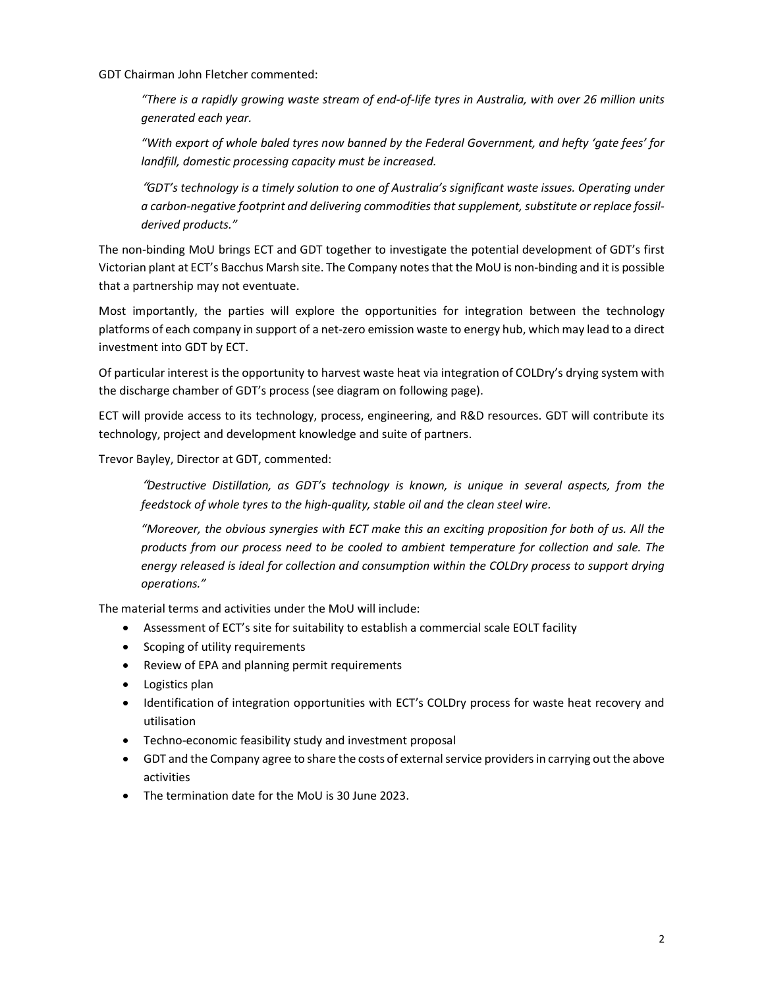GDT Chairman John Fletcher commented:

"There is a rapidly growing waste stream of end-of-life tyres in Australia, with over 26 million units generated each year.

"With export of whole baled tyres now banned by the Federal Government, and hefty 'gate fees' for landfill, domestic processing capacity must be increased.

"GDT's technology is a timely solution to one of Australia's significant waste issues. Operating under a carbon-negative footprint and delivering commodities that supplement, substitute or replace fossilderived products."

The non-binding MoU brings ECT and GDT together to investigate the potential development of GDT's first Victorian plant at ECT's Bacchus Marsh site. The Company notes that the MoU is non-binding and it is possible that a partnership may not eventuate.

Most importantly, the parties will explore the opportunities for integration between the technology platforms of each company in support of a net-zero emission waste to energy hub, which may lead to a direct investment into GDT by ECT.

Of particular interest is the opportunity to harvest waste heat via integration of COLDry's drying system with the discharge chamber of GDT's process (see diagram on following page).

ECT will provide access to its technology, process, engineering, and R&D resources. GDT will contribute its technology, project and development knowledge and suite of partners.

Trevor Bayley, Director at GDT, commented:

"Destructive Distillation, as GDT's technology is known, is unique in several aspects, from the feedstock of whole tyres to the high-quality, stable oil and the clean steel wire.

"Moreover, the obvious synergies with ECT make this an exciting proposition for both of us. All the products from our process need to be cooled to ambient temperature for collection and sale. The energy released is ideal for collection and consumption within the COLDry process to support drying operations."

The material terms and activities under the MoU will include:

- Assessment of ECT's site for suitability to establish a commercial scale EOLT facility
- Scoping of utility requirements
- Review of EPA and planning permit requirements
- Logistics plan
- Identification of integration opportunities with ECT's COLDry process for waste heat recovery and utilisation
- Techno-economic feasibility study and investment proposal
- GDT and the Company agree to share the costs of external service providers in carrying out the above activities
- The termination date for the MoU is 30 June 2023.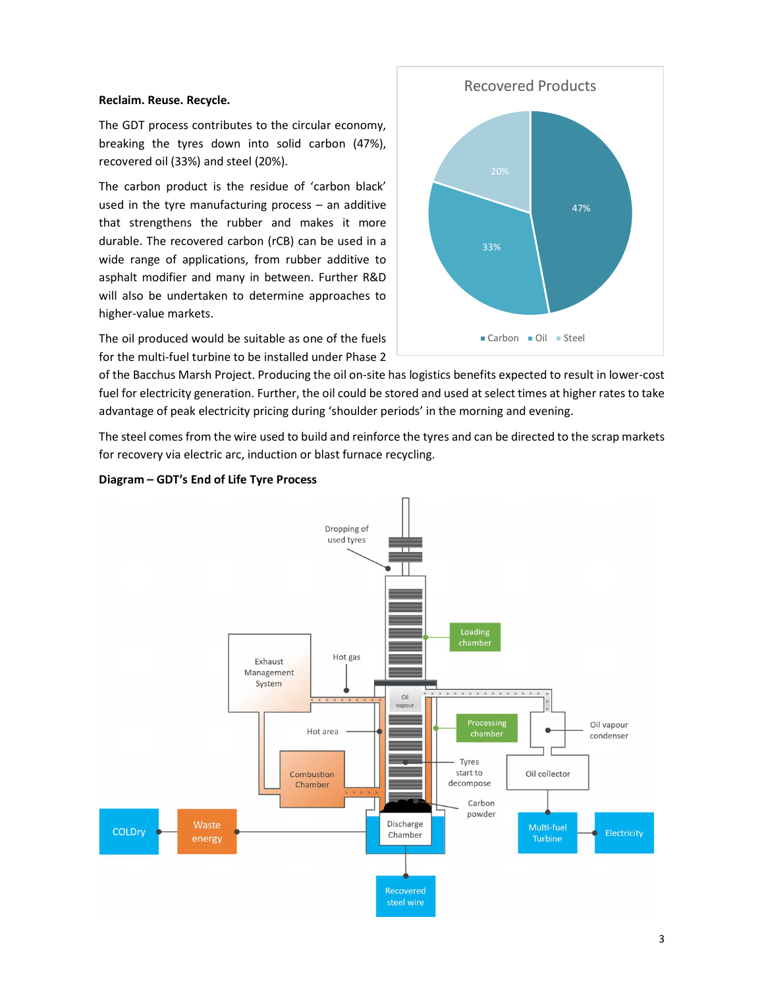# Reclaim. Reuse. Recycle.

The GDT process contributes to the circular economy, breaking the tyres down into solid carbon (47%), recovered oil (33%) and steel (20%).

The carbon product is the residue of 'carbon black' used in the tyre manufacturing process – an additive that strengthens the rubber and makes it more durable. The recovered carbon (rCB) can be used in a wide range of applications, from rubber additive to asphalt modifier and many in between. Further R&D will also be undertaken to determine approaches to higher-value markets.

The oil produced would be suitable as one of the fuels for the multi-fuel turbine to be installed under Phase 2



of the Bacchus Marsh Project. Producing the oil on-site has logistics benefits expected to result in lower-cost fuel for electricity generation. Further, the oil could be stored and used at select times at higher rates to take advantage of peak electricity pricing during 'shoulder periods' in the morning and evening.

The steel comes from the wire used to build and reinforce the tyres and can be directed to the scrap markets for recovery via electric arc, induction or blast furnace recycling.



# Diagram – GDT's End of Life Tyre Process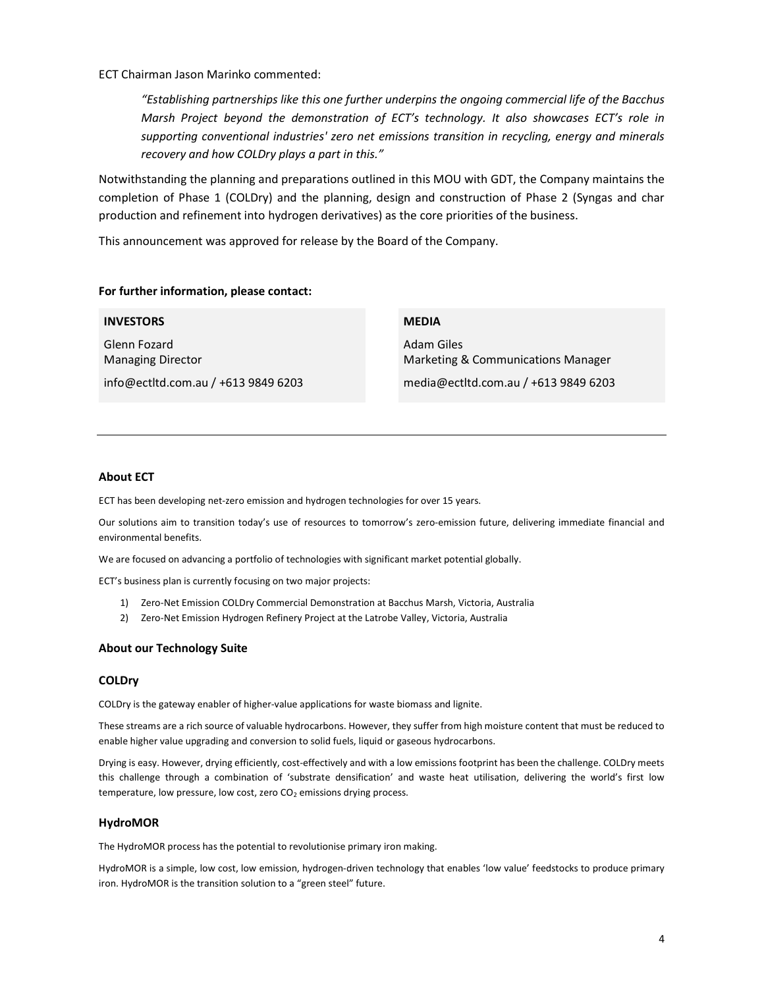ECT Chairman Jason Marinko commented:

"Establishing partnerships like this one further underpins the ongoing commercial life of the Bacchus Marsh Project beyond the demonstration of ECT's technology. It also showcases ECT's role in supporting conventional industries' zero net emissions transition in recycling, energy and minerals recovery and how COLDry plays a part in this."

Notwithstanding the planning and preparations outlined in this MOU with GDT, the Company maintains the completion of Phase 1 (COLDry) and the planning, design and construction of Phase 2 (Syngas and char production and refinement into hydrogen derivatives) as the core priorities of the business.

This announcement was approved for release by the Board of the Company.

## For further information, please contact:

| <b>INVESTORS</b>                         | <b>MEDIA</b>                                     |
|------------------------------------------|--------------------------------------------------|
| Glenn Fozard<br><b>Managing Director</b> | Adam Giles<br>Marketing & Communications Manager |
| info@ectltd.com.au $/ +61398496203$      | media@ectltd.com.au / +613 9849 6203             |

## About ECT

ECT has been developing net-zero emission and hydrogen technologies for over 15 years.

Our solutions aim to transition today's use of resources to tomorrow's zero-emission future, delivering immediate financial and environmental benefits.

We are focused on advancing a portfolio of technologies with significant market potential globally.

ECT's business plan is currently focusing on two major projects:

- 1) Zero-Net Emission COLDry Commercial Demonstration at Bacchus Marsh, Victoria, Australia
- 2) Zero-Net Emission Hydrogen Refinery Project at the Latrobe Valley, Victoria, Australia

### About our Technology Suite

#### COLDry

COLDry is the gateway enabler of higher-value applications for waste biomass and lignite.

These streams are a rich source of valuable hydrocarbons. However, they suffer from high moisture content that must be reduced to enable higher value upgrading and conversion to solid fuels, liquid or gaseous hydrocarbons.

Drying is easy. However, drying efficiently, cost-effectively and with a low emissions footprint has been the challenge. COLDry meets this challenge through a combination of 'substrate densification' and waste heat utilisation, delivering the world's first low temperature, low pressure, low cost, zero  $CO<sub>2</sub>$  emissions drying process.

## HydroMOR

The HydroMOR process has the potential to revolutionise primary iron making.

HydroMOR is a simple, low cost, low emission, hydrogen-driven technology that enables 'low value' feedstocks to produce primary iron. HydroMOR is the transition solution to a "green steel" future.